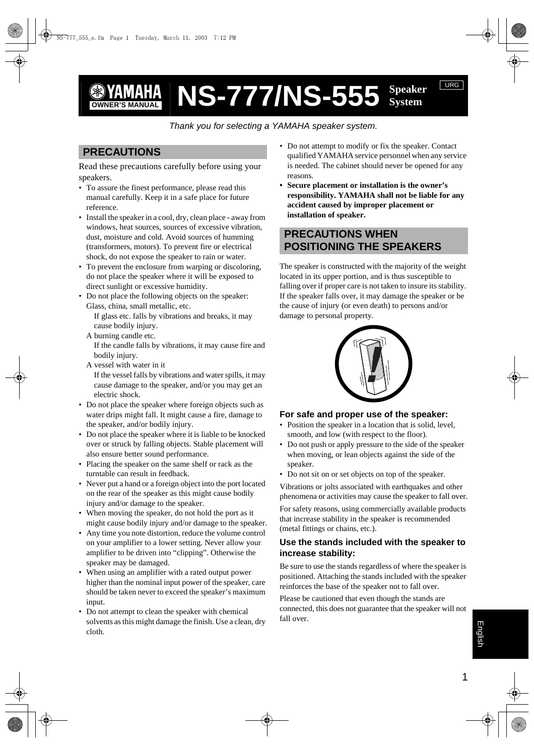# *S* **YAMAHA NS-777/NS-555** Speaker

*Thank you for selecting a YAMAHA speaker system.*

# **PRECAUTIONS**

Read these precautions carefully before using your speakers.

- To assure the finest performance, please read this manual carefully. Keep it in a safe place for future reference.
- Install the speaker in a cool, dry, clean place away from windows, heat sources, sources of excessive vibration, dust, moisture and cold. Avoid sources of humming (transformers, motors). To prevent fire or electrical shock, do not expose the speaker to rain or water.
- To prevent the enclosure from warping or discoloring, do not place the speaker where it will be exposed to direct sunlight or excessive humidity.
- Do not place the following objects on the speaker: Glass, china, small metallic, etc. If glass etc. falls by vibrations and breaks, it may cause bodily injury.
	- A burning candle etc.

If the candle falls by vibrations, it may cause fire and bodily injury.

A vessel with water in it

If the vessel falls by vibrations and water spills, it may cause damage to the speaker, and/or you may get an electric shock.

- Do not place the speaker where foreign objects such as water drips might fall. It might cause a fire, damage to the speaker, and/or bodily injury.
- Do not place the speaker where it is liable to be knocked over or struck by falling objects. Stable placement will also ensure better sound performance.
- Placing the speaker on the same shelf or rack as the turntable can result in feedback.
- Never put a hand or a foreign object into the port located on the rear of the speaker as this might cause bodily injury and/or damage to the speaker.
- When moving the speaker, do not hold the port as it might cause bodily injury and/or damage to the speaker.
- Any time you note distortion, reduce the volume control on your amplifier to a lower setting. Never allow your amplifier to be driven into "clipping". Otherwise the speaker may be damaged.
- When using an amplifier with a rated output power higher than the nominal input power of the speaker, care should be taken never to exceed the speaker's maximum input.
- Do not attempt to clean the speaker with chemical solvents as this might damage the finish. Use a clean, dry cloth.

• Do not attempt to modify or fix the speaker. Contact qualified YAMAHA service personnel when any service is needed. The cabinet should never be opened for any reasons.

URG

**• Secure placement or installation is the owner's responsibility. YAMAHA shall not be liable for any accident caused by improper placement or installation of speaker.**

# **PRECAUTIONS WHEN POSITIONING THE SPEAKERS**

The speaker is constructed with the majority of the weight located in its upper portion, and is thus susceptible to falling over if proper care is not taken to insure its stability. If the speaker falls over, it may damage the speaker or be the cause of injury (or even death) to persons and/or damage to personal property.



## **For safe and proper use of the speaker:**

- Position the speaker in a location that is solid, level, smooth, and low (with respect to the floor).
- Do not push or apply pressure to the side of the speaker when moving, or lean objects against the side of the speaker.
- Do not sit on or set objects on top of the speaker.

Vibrations or jolts associated with earthquakes and other phenomena or activities may cause the speaker to fall over.

For safety reasons, using commercially available products that increase stability in the speaker is recommended (metal fittings or chains, etc.).

## **Use the stands included with the speaker to increase stability:**

Be sure to use the stands regardless of where the speaker is positioned. Attaching the stands included with the speaker reinforces the base of the speaker not to fall over.

Please be cautioned that even though the stands are connected, this does not guarantee that the speaker will not fall over.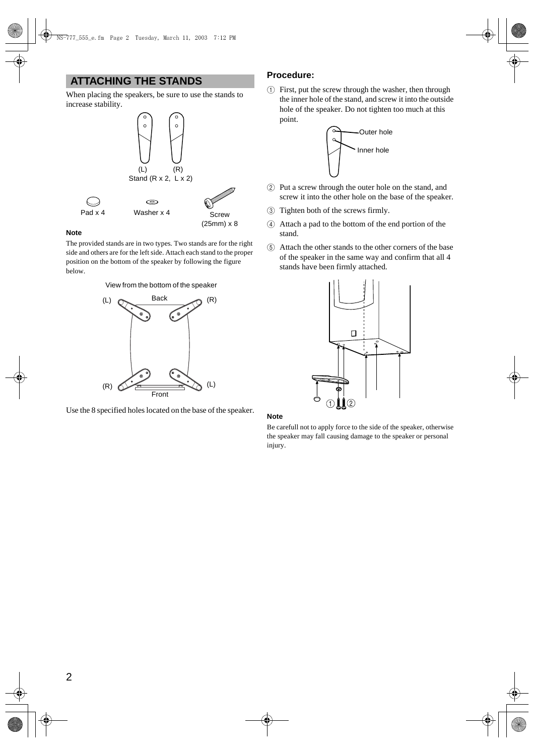# **ATTACHING THE STANDS**

When placing the speakers, be sure to use the stands to increase stability.



**Note**

.

The provided stands are in two types. Two stands are for the right side and others are for the left side. Attach each stand to the proper position on the bottom of the speaker by following the figure below.

#### View from the bottom of the speaker



Use the 8 specified holes located on the base of the speaker.

## **Procedure:**

 $(1)$  First, put the screw through the washer, then through the inner hole of the stand, and screw it into the outside hole of the speaker. Do not tighten too much at this point.



- 2 Put a screw through the outer hole on the stand, and screw it into the other hole on the base of the speaker.
- 3 Tighten both of the screws firmly.
- 4 Attach a pad to the bottom of the end portion of the stand.
- 5 Attach the other stands to the other corners of the base of the speaker in the same way and confirm that all 4 stands have been firmly attached.



#### **Note**

Be carefull not to apply force to the side of the speaker, otherwise the speaker may fall causing damage to the speaker or personal injury.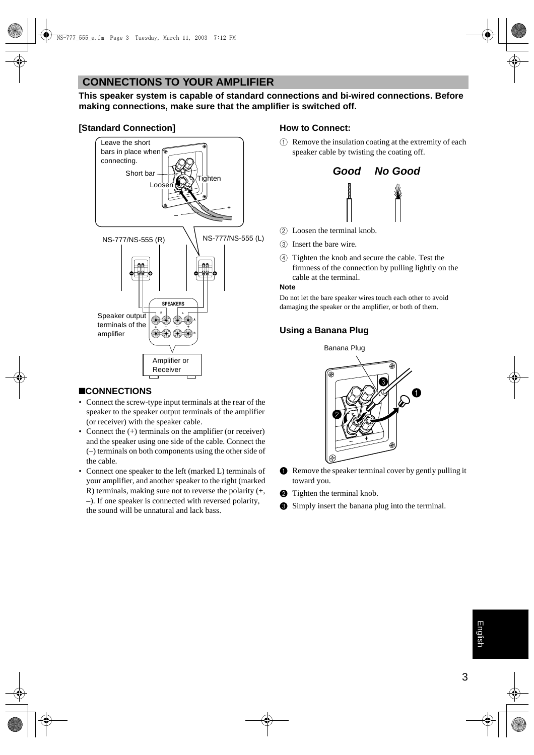# **CONNECTIONS TO YOUR AMPLIFIER**

**This speaker system is capable of standard connections and bi-wired connections. Before making connections, make sure that the amplifier is switched off.**

# **[Standard Connection]**



# ■**CONNECTIONS**

- Connect the screw-type input terminals at the rear of the speaker to the speaker output terminals of the amplifier (or receiver) with the speaker cable.
- Connect the  $(+)$  terminals on the amplifier (or receiver) and the speaker using one side of the cable. Connect the (–) terminals on both components using the other side of the cable.
- Connect one speaker to the left (marked L) terminals of your amplifier, and another speaker to the right (marked R) terminals, making sure not to reverse the polarity (+, –). If one speaker is connected with reversed polarity, the sound will be unnatural and lack bass.

## **How to Connect:**

 $(1)$  Remove the insulation coating at the extremity of each speaker cable by twisting the coating off.



- 2 Loosen the terminal knob.
- 3 Insert the bare wire.
- 4 Tighten the knob and secure the cable. Test the firmness of the connection by pulling lightly on the cable at the terminal.

#### **Note**

Do not let the bare speaker wires touch each other to avoid damaging the speaker or the amplifier, or both of them.

# **Using a Banana Plug**

Banana Plug



- **1** Remove the speaker terminal cover by gently pulling it toward you.
- **2** Tighten the terminal knob.
- **3** Simply insert the banana plug into the terminal.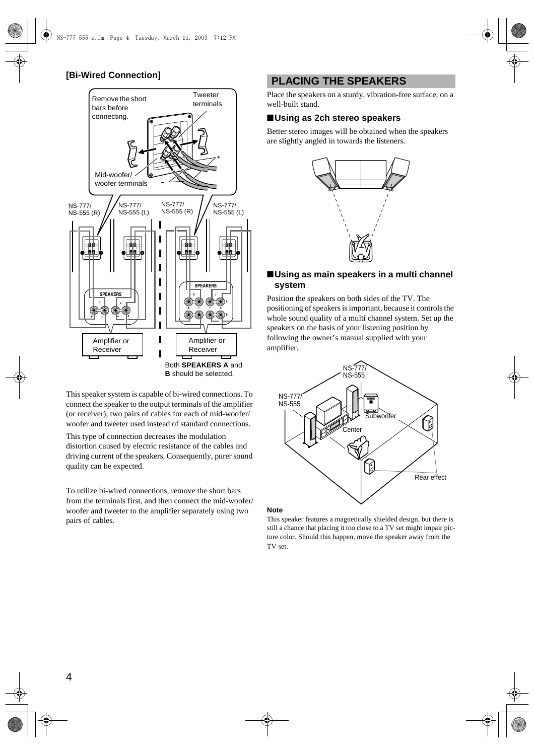## **[Bi-Wired Connection]**



This speaker system is capable of bi-wired connections. To connect the speaker to the output terminals of the amplifier (or receiver), two pairs of cables for each of mid-woofer/ woofer and tweeter used instead of standard connections.

This type of connection decreases the modulation distortion caused by electric resistance of the cables and driving current of the speakers. Consequently, purer sound quality can be expected.

To utilize bi-wired connections, remove the short bars from the terminals first, and then connect the mid-woofer/ woofer and tweeter to the amplifier separately using two pairs of cables.

# **PLACING THE SPEAKERS**

Place the speakers on a sturdy, vibration-free surface, on a well-built stand.

## ■**Using as 2ch stereo speakers**

Better stereo images will be obtained when the speakers are slightly angled in towards the listeners.



### ■**Using as main speakers in a multi channel system**

Position the speakers on both sides of the TV. The positioning of speakers is important, because it controls the whole sound quality of a multi channel system. Set up the speakers on the basis of your listening position by following the owner's manual supplied with your amplifier.



#### **Note**

This speaker features a magnetically shielded design, but there is still a chance that placing it too close to a TV set might impair picture color. Should this happen, move the speaker away from the TV set.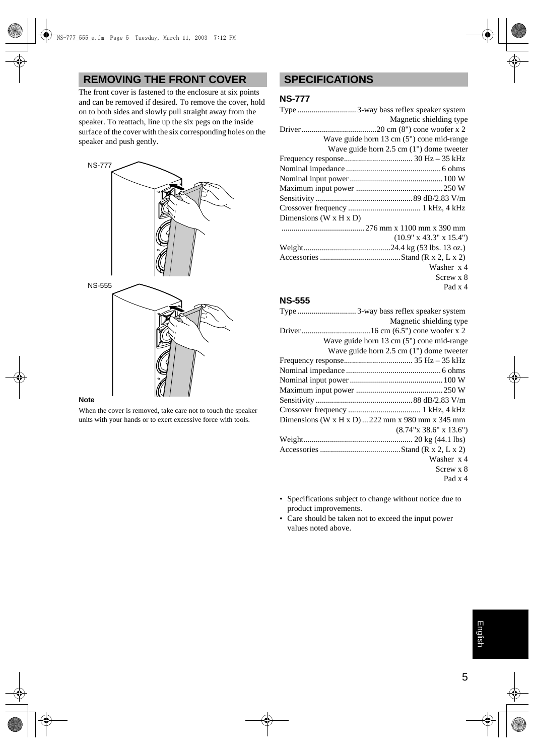# **REMOVING THE FRONT COVER**

The front cover is fastened to the enclosure at six points and can be removed if desired. To remove the cover, hold on to both sides and slowly pull straight away from the speaker. To reattach, line up the six pegs on the inside surface of the cover with the six corresponding holes on the speaker and push gently.



#### **Note**

When the cover is removed, take care not to touch the speaker units with your hands or to exert excessive force with tools.

# **SPECIFICATIONS**

### **NS-777**

|                            | Magnetic shielding type                            |
|----------------------------|----------------------------------------------------|
|                            |                                                    |
|                            | Wave guide horn 13 cm (5") cone mid-range          |
|                            | Wave guide horn $2.5 \text{ cm}$ (1") dome tweeter |
|                            |                                                    |
|                            |                                                    |
|                            |                                                    |
|                            |                                                    |
|                            |                                                    |
|                            |                                                    |
| Dimensions (W $x$ H $x$ D) |                                                    |
|                            |                                                    |
|                            | $(10.9" \times 43.3" \times 15.4")$                |
|                            |                                                    |
|                            |                                                    |
|                            | Washer x 4                                         |
|                            | Screw x 8                                          |
|                            | Pad x 4                                            |
|                            |                                                    |

## **NS-555**

|                                                  | Magnetic shielding type                      |
|--------------------------------------------------|----------------------------------------------|
|                                                  |                                              |
|                                                  | Wave guide horn 13 cm (5") cone mid-range    |
|                                                  | Wave guide horn $2.5$ cm $(1")$ dome tweeter |
|                                                  |                                              |
|                                                  |                                              |
|                                                  |                                              |
|                                                  |                                              |
|                                                  |                                              |
|                                                  |                                              |
| Dimensions (W x H x D)  222 mm x 980 mm x 345 mm |                                              |
|                                                  | (8.74"x 38.6"x 13.6")                        |
|                                                  |                                              |
|                                                  |                                              |
|                                                  | Washer x 4                                   |
|                                                  | Screw x 8                                    |
|                                                  | Pad x 4                                      |
|                                                  |                                              |

- Specifications subject to change without notice due to product improvements.
- Care should be taken not to exceed the input power values noted above.